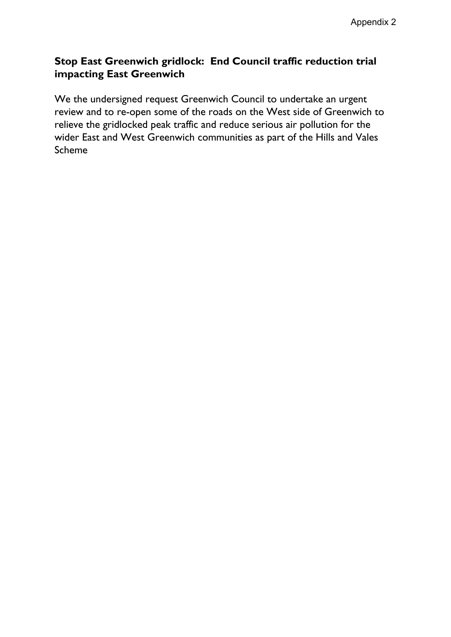# **Stop East Greenwich gridlock: End Council traffic reduction trial impacting East Greenwich**

We the undersigned request Greenwich Council to undertake an urgent review and to re-open some of the roads on the West side of Greenwich to relieve the gridlocked peak traffic and reduce serious air pollution for the wider East and West Greenwich communities as part of the Hills and Vales Scheme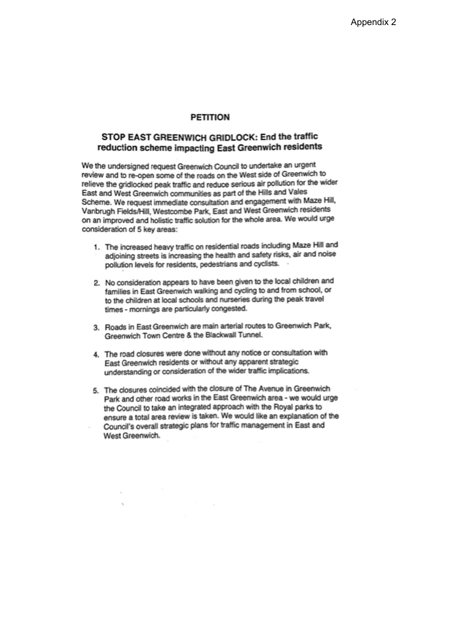### **PETITION**

## STOP EAST GREENWICH GRIDLOCK: End the traffic reduction scheme impacting East Greenwich residents

We the undersigned request Greenwich Council to undertake an urgent review and to re-open some of the roads on the West side of Greenwich to relieve the gridlocked peak traffic and reduce serious air pollution for the wider East and West Greenwich communities as part of the Hills and Vales Scheme. We request immediate consultation and engagement with Maze Hill, Vanbrugh Fields/Hill, Westcombe Park, East and West Greenwich residents on an improved and holistic traffic solution for the whole area. We would urge consideration of 5 key areas:

- 1. The increased heavy traffic on residential roads including Maze Hill and adjoining streets is increasing the health and safety risks, air and noise pollution levels for residents, pedestrians and cyclists.
- 2. No consideration appears to have been given to the local children and families in East Greenwich walking and cycling to and from school, or to the children at local schools and nurseries during the peak travel times - mornings are particularly congested.
- 3. Roads in East Greenwich are main arterial routes to Greenwich Park, Greenwich Town Centre & the Blackwall Tunnel.
- 4. The road closures were done without any notice or consultation with East Greenwich residents or without any apparent strategic understanding or consideration of the wider traffic implications.
- 5. The closures coincided with the closure of The Avenue in Greenwich Park and other road works in the East Greenwich area - we would urge the Council to take an integrated approach with the Royal parks to ensure a total area review is taken. We would like an explanation of the Council's overall strategic plans for traffic management in East and West Greenwich.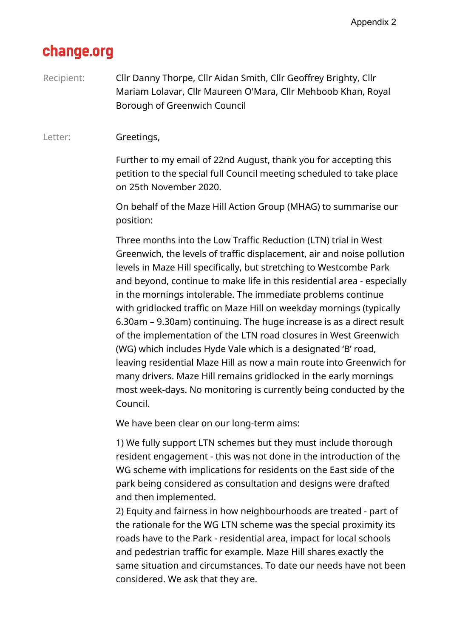# change.org

Recipient: Cllr Danny Thorpe, Cllr Aidan Smith, Cllr Geoffrey Brighty, Cllr Mariam Lolavar, Cllr Maureen O'Mara, Cllr Mehboob Khan, Royal Borough of Greenwich Council

Letter: **Greetings,** 

Further to my email of 22nd August, thank you for accepting this petition to the special full Council meeting scheduled to take place on 25th November 2020.

On behalf of the Maze Hill Action Group (MHAG) to summarise our position:

Three months into the Low Traffic Reduction (LTN) trial in West Greenwich, the levels of traffic displacement, air and noise pollution levels in Maze Hill specifically, but stretching to Westcombe Park and beyond, continue to make life in this residential area - especially in the mornings intolerable. The immediate problems continue with gridlocked traffic on Maze Hill on weekday mornings (typically 6.30am – 9.30am) continuing. The huge increase is as a direct result of the implementation of the LTN road closures in West Greenwich (WG) which includes Hyde Vale which is a designated 'B' road, leaving residential Maze Hill as now a main route into Greenwich for many drivers. Maze Hill remains gridlocked in the early mornings most week-days. No monitoring is currently being conducted by the Council.

We have been clear on our long-term aims:

1) We fully support LTN schemes but they must include thorough resident engagement - this was not done in the introduction of the WG scheme with implications for residents on the East side of the park being considered as consultation and designs were drafted and then implemented.

2) Equity and fairness in how neighbourhoods are treated - part of the rationale for the WG LTN scheme was the special proximity its roads have to the Park - residential area, impact for local schools and pedestrian traffic for example. Maze Hill shares exactly the same situation and circumstances. To date our needs have not been considered. We ask that they are.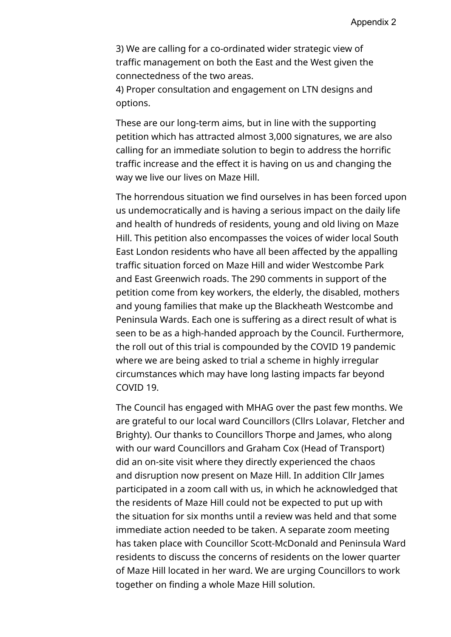3) We are calling for a co-ordinated wider strategic view of traffic management on both the East and the West given the connectedness of the two areas.

4) Proper consultation and engagement on LTN designs and options.

These are our long-term aims, but in line with the supporting petition which has attracted almost 3,000 signatures, we are also calling for an immediate solution to begin to address the horrific traffic increase and the effect it is having on us and changing the way we live our lives on Maze Hill.

The horrendous situation we find ourselves in has been forced upon us undemocratically and is having a serious impact on the daily life and health of hundreds of residents, young and old living on Maze Hill. This petition also encompasses the voices of wider local South East London residents who have all been affected by the appalling traffic situation forced on Maze Hill and wider Westcombe Park and East Greenwich roads. The 290 comments in support of the petition come from key workers, the elderly, the disabled, mothers and young families that make up the Blackheath Westcombe and Peninsula Wards. Each one is suffering as a direct result of what is seen to be as a high-handed approach by the Council. Furthermore, the roll out of this trial is compounded by the COVID 19 pandemic where we are being asked to trial a scheme in highly irregular circumstances which may have long lasting impacts far beyond COVID 19.

The Council has engaged with MHAG over the past few months. We are grateful to our local ward Councillors (Cllrs Lolavar, Fletcher and Brighty). Our thanks to Councillors Thorpe and James, who along with our ward Councillors and Graham Cox (Head of Transport) did an on-site visit where they directly experienced the chaos and disruption now present on Maze Hill. In addition Cllr James participated in a zoom call with us, in which he acknowledged that the residents of Maze Hill could not be expected to put up with the situation for six months until a review was held and that some immediate action needed to be taken. A separate zoom meeting has taken place with Councillor Scott-McDonald and Peninsula Ward residents to discuss the concerns of residents on the lower quarter of Maze Hill located in her ward. We are urging Councillors to work together on finding a whole Maze Hill solution.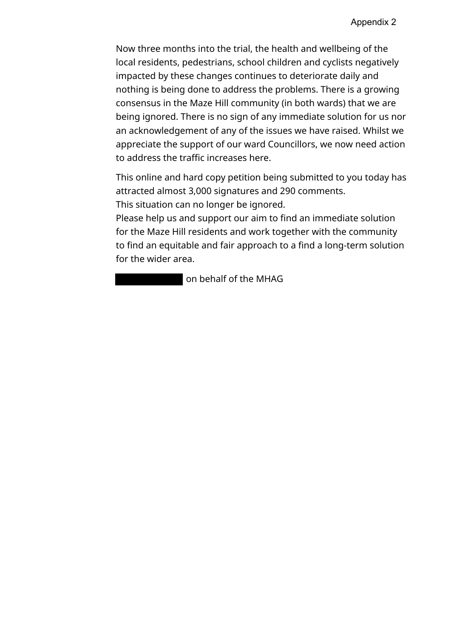Now three months into the trial, the health and wellbeing of the local residents, pedestrians, school children and cyclists negatively impacted by these changes continues to deteriorate daily and nothing is being done to address the problems. There is a growing consensus in the Maze Hill community (in both wards) that we are being ignored. There is no sign of any immediate solution for us nor an acknowledgement of any of the issues we have raised. Whilst we appreciate the support of our ward Councillors, we now need action to address the traffic increases here.

This online and hard copy petition being submitted to you today has attracted almost 3,000 signatures and 290 comments. This situation can no longer be ignored.

Please help us and support our aim to find an immediate solution for the Maze Hill residents and work together with the community to find an equitable and fair approach to a find a long-term solution for the wider area.

on behalf of the MHAG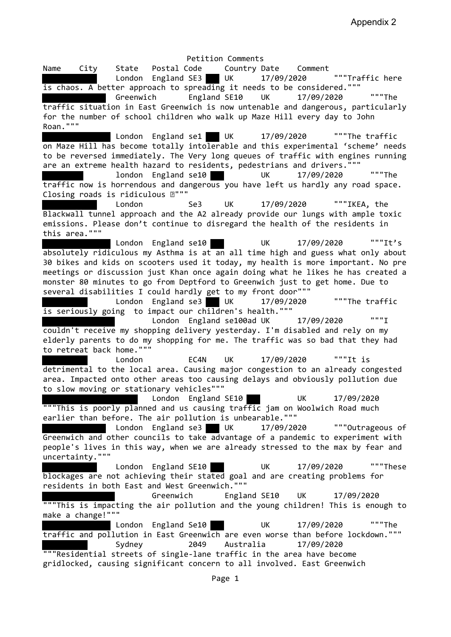Petition Comments Name City State Postal Code Country Date Comment London England SE3 UK 17/09/2020 ""Traffic here is chaos. A better approach to spreading it needs to be considered.""" Greenwich England SE10 UK 17/09/2020 """The traffic situation in East Greenwich is now untenable and dangerous, particularly for the number of school children who walk up Maze Hill every day to John Roan.""" London England se1 UK 17/09/2020 ""The traffic on Maze Hill has become totally intolerable and this experimental 'scheme' needs to be reversed immediately. The Very long queues of traffic with engines running are an extreme health hazard to residents, pedestrians and drivers.""" london England se10 UK 17/09/2020 """The traffic now is horrendous and dangerous you have left us hardly any road space. Closing roads is ridiculous  $\mathbb{R}$ """ London Se3 UK 17/09/2020 """IKEA, the Blackwall tunnel approach and the A2 already provide our lungs with ample toxic emissions. Please don't continue to disregard the health of the residents in this area.""" London England se10 UK 17/09/2020 """It's absolutely ridiculous my Asthma is at an all time high and guess what only about 30 bikes and kids on scooters used it today, my health is more important. No pre meetings or discussion just Khan once again doing what he likes he has created a monster 80 minutes to go from Deptford to Greenwich just to get home. Due to several disabilities I could hardly get to my front door""" London England se3 UK 17/09/2020 ""The traffic is seriously going to impact our children's health.""" London England se100ad UK 17/09/2020 """I couldn't receive my shopping delivery yesterday. I'm disabled and rely on my elderly parents to do my shopping for me. The traffic was so bad that they had to retreat back home.""" London EC4N UK 17/09/2020 """It is detrimental to the local area. Causing major congestion to an already congested area. Impacted onto other areas too causing delays and obviously pollution due to slow moving or stationary vehicles""" London England SE10 UK 17/09/2020 """This is poorly planned and us causing traffic jam on Woolwich Road much earlier than before. The air pollution is unbearable.""" London England se3 UK 17/09/2020 """Outrageous of Greenwich and other councils to take advantage of a pandemic to experiment with people's lives in this way, when we are already stressed to the max by fear and uncertainty.""" London England SE10 UK 17/09/2020 """These blockages are not achieving their stated goal and are creating problems for residents in both East and West Greenwich.""" Greenwich England SE10 UK 17/09/2020 """This is impacting the air pollution and the young children! This is enough to make a change!""" London England Se10 UK 17/09/2020 """The traffic and pollution in East Greenwich are even worse than before lockdown.""" Sydney 2049 Australia 17/09/2020 """Residential streets of single-lane traffic in the area have become gridlocked, causing significant concern to all involved. East Greenwich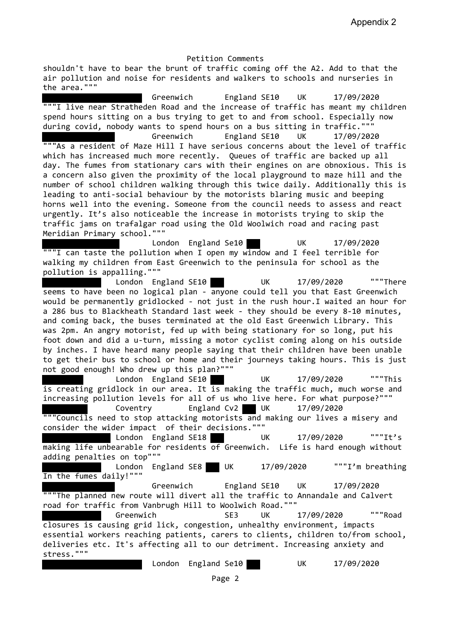shouldn't have to bear the brunt of traffic coming off the A2. Add to that the air pollution and noise for residents and walkers to schools and nurseries in the area."""

Greenwich England SE10 UK 17/09/2020 """I live near Stratheden Road and the increase of traffic has meant my children spend hours sitting on a bus trying to get to and from school. Especially now during covid, nobody wants to spend hours on a bus sitting in traffic.""" Greenwich England SE10 UK 17/09/2020 """As a resident of Maze Hill I have serious concerns about the level of traffic which has increased much more recently. Queues of traffic are backed up all day. The fumes from stationary cars with their engines on are obnoxious. This is a concern also given the proximity of the local playground to maze hill and the number of school children walking through this twice daily. Additionally this is leading to anti-social behaviour by the motorists blaring music and beeping horns well into the evening. Someone from the council needs to assess and react urgently. It's also noticeable the increase in motorists trying to skip the traffic jams on trafalgar road using the Old Woolwich road and racing past Meridian Primary school.""" London England Se10 UK 17/09/2020 """I can taste the pollution when I open my window and I feel terrible for walking my children from East Greenwich to the peninsula for school as the pollution is appalling.""" London England SE10 UK 17/09/2020 """There seems to have been no logical plan - anyone could tell you that East Greenwich would be permanently gridlocked - not just in the rush hour.I waited an hour for a 286 bus to Blackheath Standard last week - they should be every 8-10 minutes, and coming back, the buses terminated at the old East Greenwich Library. This was 2pm. An angry motorist, fed up with being stationary for so long, put his foot down and did a u-turn, missing a motor cyclist coming along on his outside by inches. I have heard many people saying that their children have been unable to get their bus to school or home and their journeys taking hours. This is just not good enough! Who drew up this plan?""" London England SE10 UK 17/09/2020 """This is creating gridlock in our area. It  $\overline{15}$  making the traffic much, much worse and increasing pollution levels for all of us who live here. For what purpose?""" Coventry England Cv2 UK 17/09/2020 """Councils need to stop attacking motorists and making our lives a misery and consider the wider impact of their decisions.""" London England SE18 UK 17/09/2020 """It's making life unbearable for residents of Greenwich. Life is hard enough without adding penalties on top""" London England SE8 UK 17/09/2020 """I'm breathing In the fumes daily!""" Greenwich England SE10 UK 17/09/2020 ""The planned new route will divert all the traffic to Annandale and Calvert road for traffic from Vanbrugh Hill to Woolwich Road.""" Greenwich SE3 UK 17/09/2020 """Road closures is causing grid lick, congestion, unhealthy environment, impacts essential workers reaching patients, carers to clients, children to/from school, deliveries etc. It's affecting all to our detriment. Increasing anxiety and stress.""" London England Se10 UK 17/09/2020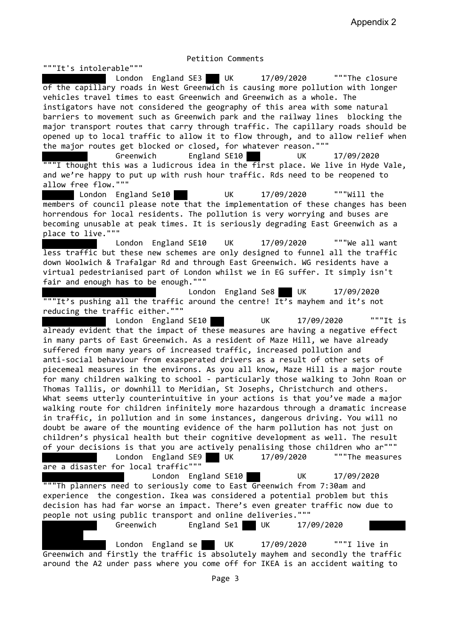"""It's intolerable""" London England SE3 UK 17/09/2020 """The closure of the capillary roads in West Greenwich is causing more pollution with longer vehicles travel times to east Greenwich and Greenwich as a whole. The instigators have not considered the geography of this area with some natural barriers to movement such as Greenwich park and the railway lines blocking the major transport routes that carry through traffic. The capillary roads should be opened up to local traffic to allow it to flow through, and to allow relief when the major routes get blocked or closed, for whatever reason.""" Greenwich England SE10 UK 17/09/2020  $" " " I though$  thought this was a ludicrous idea in the first place. We live in Hyde Vale, and we're happy to put up with rush hour traffic. Rds need to be reopened to allow free flow.""" London England Se10 UK 17/09/2020 """Will the members of council please note that the implementation of these changes has been horrendous for local residents. The pollution is very worrying and buses are becoming unusable at peak times. It is seriously degrading East Greenwich as a place to live.""" London England SE10 UK 17/09/2020 """We all want less traffic but these new schemes are only designed to funnel all the traffic down Woolwich & Trafalgar Rd and through East Greenwich. WG residents have a virtual pedestrianised part of London whilst we in EG suffer. It simply isn't fair and enough has to be enough.""" London England Se8 UK 17/09/2020 """It's pushing all the traffic around the centre! It's mayhem and it's not reducing the traffic either.""" London England SE10 UK 17/09/2020 """It is already evident that the impact of these measures are having a negative effect in many parts of East Greenwich. As a resident of Maze Hill, we have already suffered from many years of increased traffic, increased pollution and anti-social behaviour from exasperated drivers as a result of other sets of piecemeal measures in the environs. As you all know, Maze Hill is a major route for many children walking to school - particularly those walking to John Roan or Thomas Tallis, or downhill to Meridian, St Josephs, Christchurch and others. What seems utterly counterintuitive in your actions is that you've made a major walking route for children infinitely more hazardous through a dramatic increase in traffic, in pollution and in some instances, dangerous driving. You will no doubt be aware of the mounting evidence of the harm pollution has not just on children's physical health but their cognitive development as well. The result of your decisions is that you are actively penalising those children who ar""" London England SE9 UK 17/09/2020 ""The measures are a disaster for local traffic""" London England SE10 UK 17/09/2020 """Th planners need to seriously come to East Greenwich from 7:30am and experience the congestion. Ikea was considered a potential problem but this decision has had far worse an impact. There's even greater traffic now due to people not using public transport and online deliveries.""" Greenwich England Se1 UK 17/09/2020 London England se UK 17/09/2020 """I live in

Greenwich and firstly the traffic is absolutely mayhem and secondly the traffic around the A2 under pass where you come off for IKEA is an accident waiting to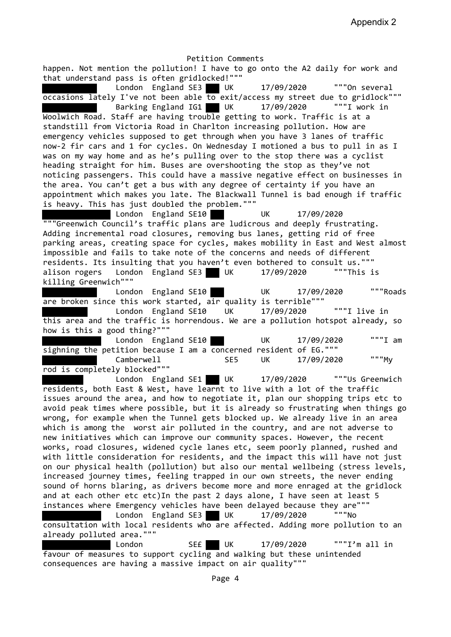Petition Comments happen. Not mention the pollution! I have to go onto the A2 daily for work and that understand pass is often gridlocked!""" London England SE3 UK 17/09/2020 """On several occasions lately I've not been able  $\overline{to}$  exit/access my street due to gridlock""" Barking England IG1 UK 17/09/2020 """I work in Woolwich Road. Staff are having trouble getting to work. Traffic is at a standstill from Victoria Road in Charlton increasing pollution. How are emergency vehicles supposed to get through when you have 3 lanes of traffic now-2 fir cars and 1 for cycles. On Wednesday I motioned a bus to pull in as I was on my way home and as he's pulling over to the stop there was a cyclist heading straight for him. Buses are overshooting the stop as they've not noticing passengers. This could have a massive negative effect on businesses in the area. You can't get a bus with any degree of certainty if you have an appointment which makes you late. The Blackwall Tunnel is bad enough if traffic is heavy. This has just doubled the problem.""" London England SE10 UK 17/09/2020 """Greenwich Council's traffic plans are ludicrous and deeply frustrating. Adding incremental road closures, removing bus lanes, getting rid of free parking areas, creating space for cycles, makes mobility in East and West almost impossible and fails to take note of the concerns and needs of different residents. Its insulting that you haven't even bothered to consult us.""" alison rogers London England SE3 UK 17/09/2020 ""This is killing Greenwich""" London England SE10 UK 17/09/2020 """Roads are broken since this work started, air quality is terrible""" London England SE10 UK 17/09/2020 """I live in this area and the traffic is horrendous. We are a pollution hotspot already, so how is this a good thing?""" London England SE10 UK 17/09/2020 """I am sighning the petition because I am a concerned resident of EG.""" Camberwell SE5 UK 17/09/2020 """My rod is completely blocked""" London England SE1 UK 17/09/2020 """Us Greenwich residents, both East & West, have learnt to live with a lot of the traffic issues around the area, and how to negotiate it, plan our shopping trips etc to avoid peak times where possible, but it is already so frustrating when things go wrong, for example when the Tunnel gets blocked up. We already live in an area which is among the worst air polluted in the country, and are not adverse to new initiatives which can improve our community spaces. However, the recent works, road closures, widened cycle lanes etc, seem poorly planned, rushed and with little consideration for residents, and the impact this will have not just on our physical health (pollution) but also our mental wellbeing (stress levels, increased journey times, feeling trapped in our own streets, the never ending sound of horns blaring, as drivers become more and more enraged at the gridlock and at each other etc etc)In the past 2 days alone, I have seen at least 5 instances where Emergency vehicles have been delayed because they are""" London England SE3 UK 17/09/2020 """No consultation with local residents who are affected. Adding more pollution to an already polluted area.""" London SE£ UK 17/09/2020 """I'm all in

favour of measures to support cycling and walking but these unintended consequences are having a massive impact on air quality"""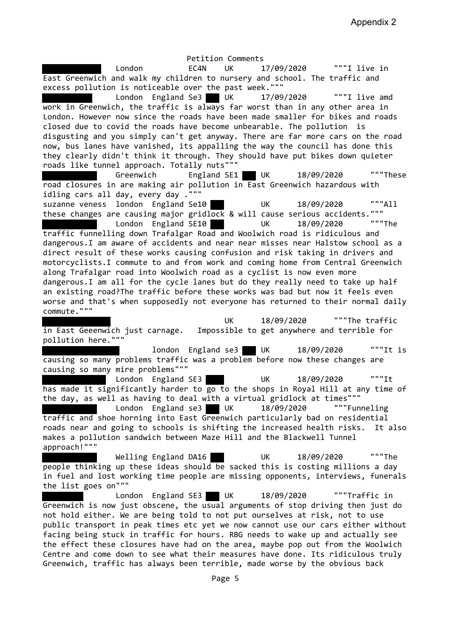Petition Comments London EC4N UK 17/09/2020 """I live in East Greenwich and walk my children to nursery and school. The traffic and excess pollution is noticeable over the past week.""" London England Se3 UK 17/09/2020 """I live amd work in Greenwich, the traffic is always far worst than in any other area in London. However now since the roads have been made smaller for bikes and roads closed due to covid the roads have become unbearable. The pollution is disgusting and you simply can't get anyway. There are far more cars on the road now, bus lanes have vanished, its appalling the way the council has done this they clearly didn't think it through. They should have put bikes down quieter roads like tunnel approach. Totally nuts""" Greenwich England SE1 UK 18/09/2020 """These road closures in are making air pollution in East Greenwich hazardous with idling cars all day, every day .""" suzanne veness london England Se10 UK 18/09/2020 """All these changes are causing major gridlock & will cause serious accidents.""" London England SE10 UK 18/09/2020 """The traffic funnelling down Trafalgar Road and Woolwich road is ridiculous and dangerous.I am aware of accidents and near near misses near Halstow school as a direct result of these works causing confusion and risk taking in drivers and motorcyclists.I commute to and from work and coming home from Central Greenwich along Trafalgar road into Woolwich road as a cyclist is now even more dangerous.I am all for the cycle lanes but do they really need to take up half an existing road?The traffic before these works was bad but now it feels even worse and that's when supposedly not everyone has returned to their normal daily commute.""" UK 18/09/2020 """The traffic in East Geeenwich just carnage. Impossible to get anywhere and terrible for pollution here.""" london England se3 UK 18/09/2020 """It is causing so many problems traffic was a problem before now these changes are causing so many mire problems""" London England SE3 UK 18/09/2020 """It has made it significantly harder to  $\overline{go}$  to the shops in Royal Hill at any time of the day, as well as having to deal with a virtual gridlock at times""" London England se3 UK 18/09/2020 """Funneling traffic and shoe horning into East Greenwich particularly bad on residential roads near and going to schools is shifting the increased health risks. It also makes a pollution sandwich between Maze Hill and the Blackwell Tunnel approach!""" Welling England DA16 UK 18/09/2020 """The people thinking up these ideas should be sacked this is costing millions a day in fuel and lost working time people are missing opponents, interviews, funerals the list goes on"""

London England SE3 UK 18/09/2020 ""Traffic in Greenwich is now just obscene, the usual arguments of stop driving then just do not hold either. We are being told to not put ourselves at risk, not to use public transport in peak times etc yet we now cannot use our cars either without facing being stuck in traffic for hours. RBG needs to wake up and actually see the effect these closures have had on the area, maybe pop out from the Woolwich Centre and come down to see what their measures have done. Its ridiculous truly Greenwich, traffic has always been terrible, made worse by the obvious back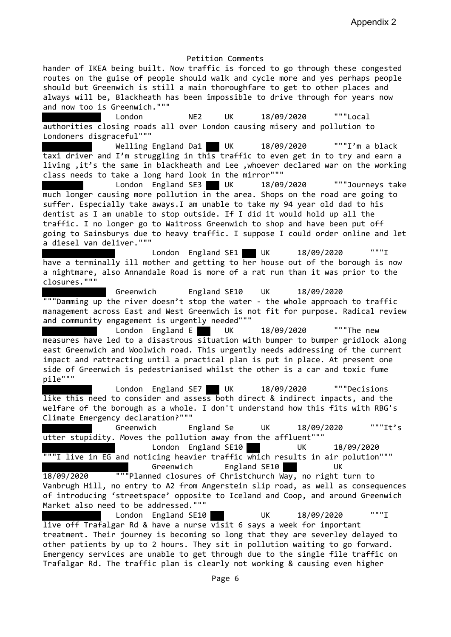hander of IKEA being built. Now traffic is forced to go through these congested routes on the guise of people should walk and cycle more and yes perhaps people should but Greenwich is still a main thoroughfare to get to other places and always will be, Blackheath has been impossible to drive through for years now and now too is Greenwich."""

 London NE2 UK 18/09/2020 """Local authorities closing roads all over London causing misery and pollution to Londoners disgraceful"""

Welling England Da1 UK 18/09/2020 """I'm a black taxi driver and I'm struggling in this traffic to even get in to try and earn a living ,it's the same in blackheath and Lee ,whoever declared war on the working class needs to take a long hard look in the mirror"""

London England SE3 UK 18/09/2020 """Journeys take much longer causing more pollution in the area. Shops on the road are going to suffer. Especially take aways.I am unable to take my 94 year old dad to his dentist as I am unable to stop outside. If I did it would hold up all the traffic. I no longer go to Waitross Greenwich to shop and have been put off going to Sainsburys due to heavy traffic. I suppose I could order online and let a diesel van deliver."""

London England SE1 UK  $18/09/2020$ have a terminally ill mother and getting to her house out of the borough is now a nightmare, also Annandale Road is more of a rat run than it was prior to the closures."""

 Greenwich England SE10 UK 18/09/2020 """Damming up the river doesn't stop the water - the whole approach to traffic management across East and West Greenwich is not fit for purpose. Radical review and community engagement is urgently needed"""

London England E UK 18/09/2020 ""The new measures have led to a disastrous situation with bumper to bumper gridlock along east Greenwich and Woolwich road. This urgently needs addressing of the current impact and rattracting until a practical plan is put in place. At present one side of Greenwich is pedestrianised whilst the other is a car and toxic fume pile"""

 London England SE7 UK 18/09/2020 """Decisions like this need to consider and assess both direct & indirect impacts, and the welfare of the borough as a whole. I don't understand how this fits with RBG's Climate Emergency declaration?"""

Greenwich England Se UK 18/09/2020 """It's utter stupidity. Moves the pollution away from the affluent"""

 London England SE10 UK 18/09/2020  $\overline{ }$  ""I live in EG and noticing heavier traffic  $\overline{ \textsf{which}}$  results in air polution""" Greenwich England SE10 UK

18/09/2020 """Planned closures of Christchurch Way, no right turn to Vanbrugh Hill, no entry to A2 from Angerstein slip road, as well as consequences of introducing 'streetspace' opposite to Iceland and Coop, and around Greenwich Market also need to be addressed."""

London England SE10 UK 18/09/2020 """I live off Trafalgar Rd & have a nurse visit 6 says a week for important treatment. Their journey is becoming so long that they are severley delayed to other patients by up to 2 hours. They sit in pollution waiting to go forward. Emergency services are unable to get through due to the single file traffic on Trafalgar Rd. The traffic plan is clearly not working & causing even higher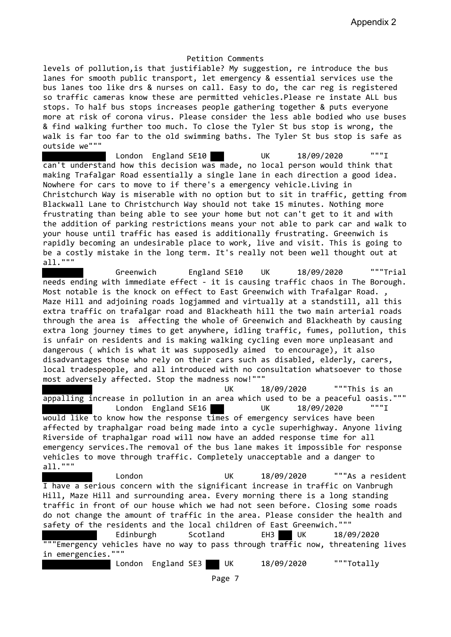levels of pollution,is that justifiable? My suggestion, re introduce the bus lanes for smooth public transport, let emergency & essential services use the bus lanes too like drs & nurses on call. Easy to do, the car reg is registered so traffic cameras know these are permitted vehicles.Please re instate ALL bus stops. To half bus stops increases people gathering together & puts everyone more at risk of corona virus. Please consider the less able bodied who use buses & find walking further too much. To close the Tyler St bus stop is wrong, the walk is far too far to the old swimming baths. The Tyler St bus stop is safe as outside we"""

London England SE10 UK 18/09/2020 """I can't understand how this decision was made, no local person would think that making Trafalgar Road essentially a single lane in each direction a good idea. Nowhere for cars to move to if there's a emergency vehicle.Living in Christchurch Way is miserable with no option but to sit in traffic, getting from Blackwall Lane to Christchurch Way should not take 15 minutes. Nothing more frustrating than being able to see your home but not can't get to it and with the addition of parking restrictions means your not able to park car and walk to your house until traffic has eased is additionally frustrating. Greenwich is rapidly becoming an undesirable place to work, live and visit. This is going to be a costly mistake in the long term. It's really not been well thought out at all."""

 Greenwich England SE10 UK 18/09/2020 """Trial needs ending with immediate effect - it is causing traffic chaos in The Borough. Most notable is the knock on effect to East Greenwich with Trafalgar Road., Maze Hill and adjoining roads logjammed and virtually at a standstill, all this extra traffic on trafalgar road and Blackheath hill the two main arterial roads through the area is affecting the whole of Greenwich and Blackheath by causing extra long journey times to get anywhere, idling traffic, fumes, pollution, this is unfair on residents and is making walking cycling even more unpleasant and dangerous ( which is what it was supposedly aimed to encourage), it also disadvantages those who rely on their cars such as disabled, elderly, carers, local tradespeople, and all introduced with no consultation whatsoever to those most adversely affected. Stop the madness now!"""

 UK 18/09/2020 """This is an appalling increase in pollution in an area which used to be a peaceful oasis.""" London England SE16 UK 18/09/2020 """I would like to know how the response times of emergency services have been affected by traphalgar road being made into a cycle superhighway. Anyone living Riverside of traphalgar road will now have an added response time for all emergency services.The removal of the bus lane makes it impossible for response vehicles to move through traffic. Completely unacceptable and a danger to all."""

 London UK 18/09/2020 """As a resident I have a serious concern with the significant increase in traffic on Vanbrugh Hill, Maze Hill and surrounding area. Every morning there is a long standing traffic in front of our house which we had not seen before. Closing some roads do not change the amount of traffic in the area. Please consider the health and safety of the residents and the local children of East Greenwich."""

 Edinburgh Scotland EH3 UK 18/09/2020 """Emergency vehicles have no way to pass through traffic now, threatening lives in emergencies."""

London England SE3 UK 18/09/2020 """Totally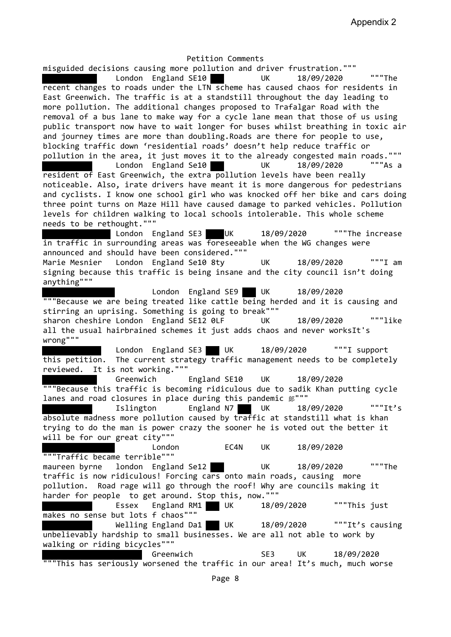misguided decisions causing more pollution and driver frustration.""" London England SE10 UK 18/09/2020 """The recent changes to roads under the LTN scheme has caused chaos for residents in East Greenwich. The traffic is at a standstill throughout the day leading to more pollution. The additional changes proposed to Trafalgar Road with the removal of a bus lane to make way for a cycle lane mean that those of us using public transport now have to wait longer for buses whilst breathing in toxic air and journey times are more than doubling.Roads are there for people to use, blocking traffic down 'residential roads' doesn't help reduce traffic or pollution in the area, it just moves it to the already congested main roads."""<br>Indon Forland Se10  $London$  England Se10  $UK$   $18/09/2020$ resident of East Greenwich, the extra pollution levels have been really noticeable. Also, irate drivers have meant it is more dangerous for pedestrians and cyclists. I know one school girl who was knocked off her bike and cars doing three point turns on Maze Hill have caused damage to parked vehicles. Pollution levels for children walking to local schools intolerable. This whole scheme needs to be rethought.""" London England SE3 UK 18/09/2020 """The increase in traffic in surrounding areas was foreseeable when the WG changes were announced and should have been considered.""" Marie Mesnier London England Se10 8ty UK 18/09/2020 """I am signing because this traffic is being insane and the city council isn't doing anything""" London England SE9 UK 18/09/2020 """Because we are being treated like cattle being herded and it is causing and stirring an uprising. Something is going to break""" sharon cheshire London England SE12 0LF UK 18/09/2020 """like all the usual hairbrained schemes it just adds chaos and never worksIt's wrong""" London England SE3 UK 18/09/2020 """I support this petition. The current strategy traffic management needs to be completely reviewed. It is not working.""" Greenwich England SE10 UK 18/09/2020 """Because this traffic is becoming ridiculous due to sadik Khan putting cycle lanes and road closures in place during this pandemic 郎""" Islington England N7 UK 18/09/2020 """It's absolute madness more pollution caused by traffic at standstill what is khan trying to do the man is power crazy the sooner he is voted out the better it will be for our great city""" London EC4N UK 18/09/2020 """Traffic became terrible""" maureen byrne london England Se12 UK 18/09/2020 """The traffic is now ridiculous! Forcing cars onto main roads, causing more pollution. Road rage will go through the roof! Why are councils making it harder for people to get around. Stop this, now.""" Essex England RM1 UK 18/09/2020 """This just makes no sense but lots f chaos""" Welling England Da1 UK 18/09/2020 """It's causing unbelievably hardship to small businesses. We are all not able to work by walking or riding bicycles""" Greenwich SE3 UK 18/09/2020 """This has seriously worsened the traffic in our area! It's much, much worse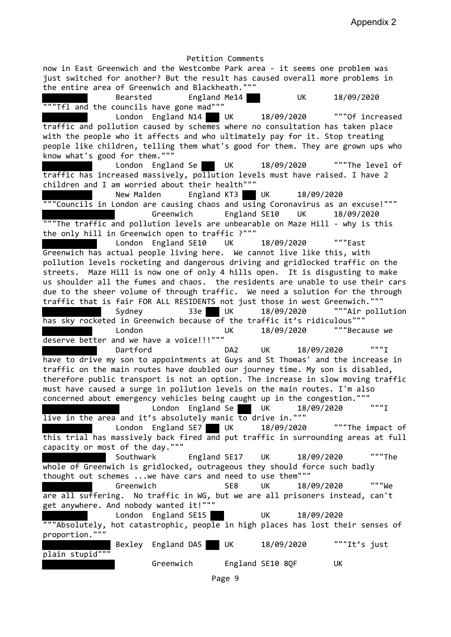Petition Comments now in East Greenwich and the Westcombe Park area - it seems one problem was just switched for another? But the result has caused overall more problems in the entire area of Greenwich and Blackheath.""" Bearsted England Me14 UK 18/09/2020 """Tfl and the councils have gone mad""" London England N14 UK 18/09/2020 """Of increased traffic and pollution caused by schemes where no consultation has taken place with the people who it affects and who ultimately pay for it. Stop treating people like children, telling them what's good for them. They are grown ups who know what's good for them.""" London England Se UK 18/09/2020 ""The level of traffic has increased massively, pollution levels must have raised. I have 2 children and I am worried about their health""" New Malden England KT3 UK 18/09/2020 """Councils in London are causing chaos and using Coronavirus as an excuse!""" Greenwich England SE10 UK 18/09/2020 """The traffic and pollution levels are unbearable on Maze Hill - why is this the only hill in Greenwich open to traffic ?""" London England SE10 UK 18/09/2020 """East Greenwich has actual people living here. We cannot live like this, with pollution levels rocketing and dangerous driving and gridlocked traffic on the streets. Maze Hill is now one of only 4 hills open. It is disgusting to make us shoulder all the fumes and chaos. the residents are unable to use their cars due to the sheer volume of through traffic. We need a solution for the through traffic that is fair FOR ALL RESIDENTS not just those in west Greenwich.""" Sydney 33e UK 18/09/2020 """Air pollution has sky rocketed in Greenwich because of the traffic it's ridiculous""" London UK 18/09/2020 """Because we deserve better and we have a voice!!!""" Dartford DA2 UK 18/09/2020 """I have to drive my son to appointments at Guys and St Thomas' and the increase in traffic on the main routes have doubled our journey time. My son is disabled, therefore public transport is not an option. The increase in slow moving traffic must have caused a surge in pollution levels on the main routes. I'm also concerned about emergency vehicles being caught up in the congestion.""" London England Se UK 18/09/2020 """I live in the area and it's absolutely manic to drive in.""" London England SE7 UK 18/09/2020 ""The impact of this trial has massively back fired and put traffic in surrounding areas at full capacity or most of the day.""" Southwark England SE17 UK 18/09/2020 """The whole of Greenwich is gridlocked, outrageous they should force such badly thought out schemes ...we have cars and need to use them""" Greenwich SE8 UK 18/09/2020 """We are all suffering. No traffic in WG, but we are all prisoners instead, can't get anywhere. And nobody wanted it!""" London England SE15 UK 18/09/2020 """Absolutely, hot catastrophic, people in high places has lost their senses of proportion.""" Bexley England DA5 UK 18/09/2020 """It's just plain stupid""" Greenwich England SE10 8QF UK

Page 9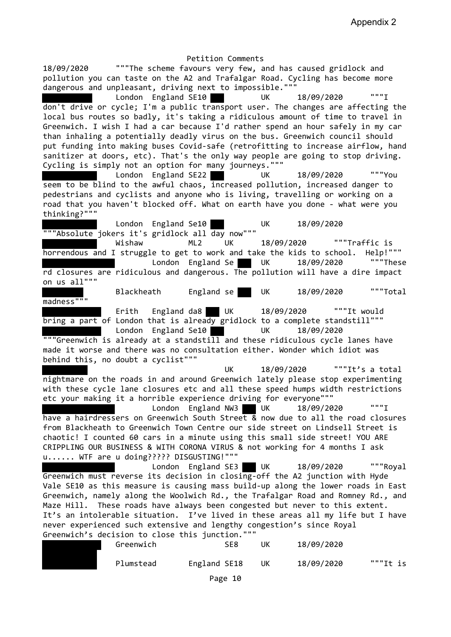Petition Comments 18/09/2020 """The scheme favours very few, and has caused gridlock and pollution you can taste on the A2 and Trafalgar Road. Cycling has become more dangerous and unpleasant, driving next to impossible.""" London England SE10 UK 18/09/2020 """I don't drive or cycle; I'm a public transport user. The changes are affecting the local bus routes so badly, it's taking a ridiculous amount of time to travel in Greenwich. I wish I had a car because I'd rather spend an hour safely in my car than inhaling a potentially deadly virus on the bus. Greenwich council should put funding into making buses Covid-safe (retrofitting to increase airflow, hand sanitizer at doors, etc). That's the only way people are going to stop driving. Cycling is simply not an option for many journeys.""" London England SE22 UK 18/09/2020 """You seem to be blind to the awful chaos, increased pollution, increased danger to pedestrians and cyclists and anyone who is living, travelling or working on a road that you haven't blocked off. What on earth have you done - what were you thinking?""" London England Se10 UK 18/09/2020 """Absolute jokers it's gridlock all day now""" Wishaw ML2 UK 18/09/2020 """Traffic is horrendous and I struggle to get to work and take the kids to school. Help!""" London England Se UK 18/09/2020 ""These rd closures are ridiculous and dangerous. The pollution will have a dire impact on us all""" Blackheath England se UK 18/09/2020 """Total madness""" Erith England da8 UK 18/09/2020 """It would bring a part of London that is already gridlock to a complete standstill""" London England Se10 UK 18/09/2020 """Greenwich is already at a standstill and these ridiculous cycle lanes have made it worse and there was no consultation either. Wonder which idiot was behind this, no doubt a cyclist""" UK 18/09/2020 """It's a total nightmare on the roads in and around Greenwich lately please stop experimenting with these cycle lane closures etc and all these speed humps width restrictions etc your making it a horrible experience driving for everyone""" London England NW3 UK 18/09/2020 """I have a hairdressers on Greenwich South Street & now due to all the road closures from Blackheath to Greenwich Town Centre our side street on Lindsell Street is chaotic! I counted 60 cars in a minute using this small side street! YOU ARE CRIPPLING OUR BUSINESS & WITH CORONA VIRUS & not working for 4 months I ask u...... WTF are u doing????? DISGUSTING!""" London England SE3 UK 18/09/2020 """Royal Greenwich must reverse its decision in closing-off the A2 junction with Hyde Vale SE10 as this measure is causing mass build-up along the lower roads in East Greenwich, namely along the Woolwich Rd., the Trafalgar Road and Romney Rd., and Maze Hill. These roads have always been congested but never to this extent. It's an intolerable situation. I've lived in these areas all my life but I have never experienced such extensive and lengthy congestion's since Royal Greenwich's decision to close this junction.""" Greenwich SE8 UK 18/09/2020

Plumstead England SE18 UK 18/09/2020 """It is

Page 10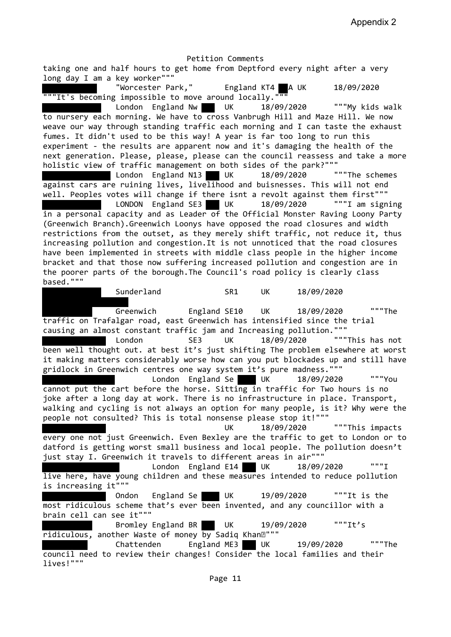Appendix 2

Petition Comments taking one and half hours to get home from Deptford every night after a very long day I am a key worker""" "Worcester Park," England KT4 A UK 18/09/2020 """It's becoming impossible to move around locally.""" London England Nw UK 18/09/2020 """My kids walk to nursery each morning. We have to cross Vanbrugh Hill and Maze Hill. We now weave our way through standing traffic each morning and I can taste the exhaust fumes. It didn't used to be this way! A year is far too long to run this experiment - the results are apparent now and it's damaging the health of the next generation. Please, please, please can the council reassess and take a more holistic view of traffic management on both sides of the park?""" London England N13 UK 18/09/2020 """The schemes against cars are ruining lives, livelihood and buisnesses. This will not end well. Peoples votes will change if there isnt a revolt against them first""" LONDON England SE3 UK 18/09/2020 """I am signing in a personal capacity and as Leader of the Official Monster Raving Loony Party (Greenwich Branch).Greenwich Loonys have opposed the road closures and width restrictions from the outset, as they merely shift traffic, not reduce it, thus increasing pollution and congestion.It is not unnoticed that the road closures have been implemented in streets with middle class people in the higher income bracket and that those now suffering increased pollution and congestion are in the poorer parts of the borough.The Council's road policy is clearly class based.""" Sunderland SR1 UK 18/09/2020 Greenwich England SE10 UK 18/09/2020 """The traffic on Trafalgar road, east Greenwich has intensified since the trial causing an almost constant traffic jam and Increasing pollution.""" London SE3 UK 18/09/2020 """This has not been well thought out. at best it's just shifting The problem elsewhere at worst it making matters considerably worse how can you put blockades up and still have gridlock in Greenwich centres one way system it's pure madness.""" London England Se UK 18/09/2020 """You cannot put the cart before the horse. Sitting in traffic for Two hours is no joke after a long day at work. There is no infrastructure in place. Transport, walking and cycling is not always an option for many people, is it? Why were the people not consulted? This is total nonsense please stop it!""" UK 18/09/2020 """This impacts every one not just Greenwich. Even Bexley are the traffic to get to London or to datford is getting worst small business and local people. The pollution doesn't just stay I. Greenwich it travels to different areas in air""" London England E14 UK 18/09/2020 """I live here, have young children and these measures intended to reduce pollution is increasing it""" Ondon England Se UK 19/09/2020 """It is the most ridiculous scheme that's ever been invented, and any councillor with a brain cell can see it""" Bromley England BR UK 19/09/2020 """It's  $ridiculous$ , another Waste of money by Sadiq Khan $\mathbb{D}$ """ Chattenden England ME3 UK 19/09/2020 """The council need to review their changes! Consider the local families and their lives!"""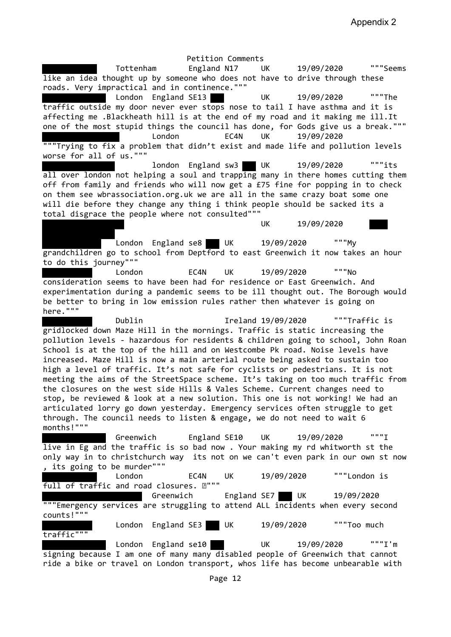Petition Comments Tottenham England N17 UK 19/09/2020 """Seems like an idea thought up by someone who does not have to drive through these roads. Very impractical and in continence.""" London England SE13 UK 19/09/2020 """The traffic outside my door never ever stops nose to tail I have asthma and it is affecting me .Blackheath hill is at the end of my road and it making me ill.It one of the most stupid things the council has done, for Gods give us a break.""" London EC4N UK 19/09/2020 """Trying to fix a problem that didn't exist and made life and pollution levels worse for all of us.""" london England sw3 UK 19/09/2020 """its all over london not helping a soul and trapping many in there homes cutting them off from family and friends who will now get a £75 fine for popping in to check on them see wbrassociation.org.uk we are all in the same crazy boat some one will die before they change any thing i think people should be sacked its a total disgrace the people where not consulted""" UK 19/09/2020 London England se8 UK 19/09/2020 """My grandchildren go to school from Deptford to east Greenwich it now takes an hour to do this journey""" London EC4N UK 19/09/2020 """No consideration seems to have been had for residence or East Greenwich. And experimentation during a pandemic seems to be ill thought out. The Borough would be better to bring in low emission rules rather then whatever is going on here.""" Dublin Ireland 19/09/2020 """Traffic is gridlocked down Maze Hill in the mornings. Traffic is static increasing the pollution levels - hazardous for residents & children going to school, John Roan School is at the top of the hill and on Westcombe Pk road. Noise levels have increased. Maze Hill is now a main arterial route being asked to sustain too high a level of traffic. It's not safe for cyclists or pedestrians. It is not meeting the aims of the StreetSpace scheme. It's taking on too much traffic from the closures on the west side Hills & Vales Scheme. Current changes need to stop, be reviewed & look at a new solution. This one is not working! We had an articulated lorry go down yesterday. Emergency services often struggle to get through. The council needs to listen & engage, we do not need to wait 6 months!""" Greenwich England SE10 UK 19/09/2020 """I live in Eg and the traffic is so bad now . Your making my rd whitworth st the only way in to christchurch way its not on we can't even park in our own st now , its going to be murder""" London EC4N UK 19/09/2020 """London is full of traffic and road closures.  $\mathbb{E}$ """ Greenwich England SE7 UK 19/09/2020 """Emergency services are struggling to attend ALL incidents when every second counts!""" London England SE3 UK 19/09/2020 ""Too much traffic""" London England se10 UK 19/09/2020 """I'm signing because I am one of many many disabled people of Greenwich that cannot ride a bike or travel on London transport, whos life has become unbearable with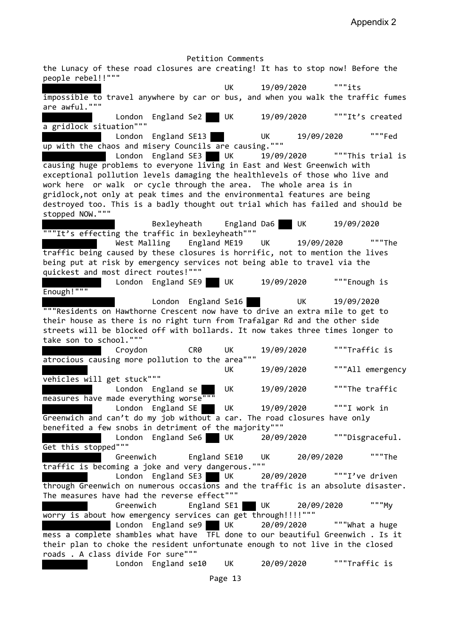Petition Comments the Lunacy of these road closures are creating! It has to stop now! Before the people rebel!!""" UK 19/09/2020 """its impossible to travel anywhere by car or bus, and when you walk the traffic fumes are awful.""" London England Se2 UK 19/09/2020 """It's created a gridlock situation""" London England SE13 UK 19/09/2020 """Fed up with the chaos and misery Councils are causing.""" London England SE3 UK 19/09/2020 ""This trial is causing huge problems to everyone living in East and West Greenwich with exceptional pollution levels damaging the healthlevels of those who live and work here or walk or cycle through the area. The whole area is in gridlock,not only at peak times and the environmental features are being destroyed too. This is a badly thought out trial which has failed and should be stopped NOW.""" Bexleyheath England Da6 UK 19/09/2020 """It's effecting the traffic in bexleyheath""" West Malling England ME19 UK 19/09/2020 """The traffic being caused by these closures is horrific, not to mention the lives being put at risk by emergency services not being able to travel via the quickest and most direct routes!""" London England SE9 UK 19/09/2020 """Enough is Enough!""" London England Se16 UK 19/09/2020 """Residents on Hawthorne Crescent now have to drive an extra mile to get to their house as there is no right turn from Trafalgar Rd and the other side streets will be blocked off with bollards. It now takes three times longer to take son to school.""" Croydon CR0 UK 19/09/2020 """Traffic is atrocious causing more pollution to the area""" UK 19/09/2020 """All emergency vehicles will get stuck""" London England se UK 19/09/2020 ""The traffic measures have made everything worse" London England SE UK 19/09/2020 """I work in Greenwich and can't do my job without a car. The road closures have only benefited a few snobs in detriment of the majority""" London England Se6 UK 20/09/2020 """Disgraceful. Get this stopped""" Greenwich England SE10 UK 20/09/2020 """The traffic is becoming a joke and very dangerous.""" London England SE3 UK 20/09/2020 """I've driven through Greenwich on numerous occasions and the traffic is an absolute disaster. The measures have had the reverse effect""" Greenwich England SE1 UK 20/09/2020 """My worry is about how emergency services can get through!!!!""" London England se9 UK 20/09/2020 ""What a huge mess a complete shambles what have TFL done to our beautiful Greenwich . Is it their plan to choke the resident unfortunate enough to not live in the closed roads . A class divide For sure""" London England se10 UK 20/09/2020 """Traffic is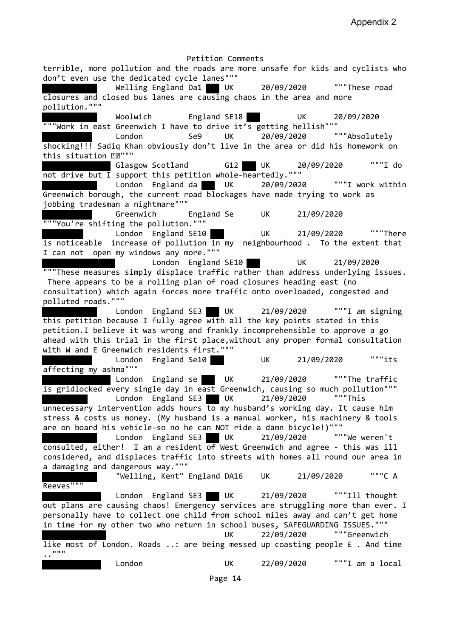Appendix 2

Petition Comments terrible, more pollution and the roads are more unsafe for kids and cyclists who don't even use the dedicated cycle lanes""" Welling England Da1 UK 20/09/2020 ""These road closures and closed bus lanes are causing chaos in the area and more pollution.""" Woolwich England SE18 UK 20/09/2020 """Work in east Greenwich I have to drive it's getting hellish""" London Se9 UK 20/09/2020 """Absolutely shocking!!! Sadiq Khan obviously don't live in the area or did his homework on this situation  $\mathbb{R}$ """ Glasgow Scotland G12 UK 20/09/2020 """I do not drive but I support this petition whole-heartedly.""" London England da UK 20/09/2020 """I work within Greenwich borough, the current road blockages have made trying to work as jobbing tradesman a nightmare""" Greenwich England Se UK 21/09/2020 """You're shifting the pollution.""" London England SE10 UK 21/09/2020 """There is noticeable increase of pollution in my neighbourhood. To the extent that I can not open my windows any more.""" London England SE10 UK 21/09/2020 """These measures simply displace traffic rather than address underlying issues. There appears to be a rolling plan of road closures heading east (no consultation) which again forces more traffic onto overloaded, congested and polluted roads.""" London England SE3 UK 21/09/2020 """I am signing this petition because I fully agree with all the key points stated in this petition.I believe it was wrong and frankly incomprehensible to approve a go ahead with this trial in the first place,without any proper formal consultation with W and E Greenwich residents first.""" London England Se10 UK 21/09/2020 """its affecting my ashma""" London England se UK 21/09/2020 ""The traffic is gridlocked every single day in east Greenwich, causing so much pollution"""  $\frac{1}{2}$  London England SE3 UK  $\frac{21}{99/2020}$ unnecessary intervention adds hours to my husband's working day. It cause him stress & costs us money. (My husband is a manual worker, his machinery & tools are on board his vehicle-so no he can NOT ride a damn bicycle!)""" London England SE3 UK 21/09/2020 """We weren't consulted, either! I am a resident of West Greenwich and agree - this was ill considered, and displaces traffic into streets with homes all round our area in a damaging and dangerous way.""" "Welling, Kent" England DA16 UK 21/09/2020 """C A Reeves""" London England SE3 UK 21/09/2020 """Ill thought out plans are causing chaos! Emergency services are struggling more than ever. I personally have to collect one child from school miles away and can't get home in time for my other two who return in school buses, SAFEGUARDING ISSUES.""" UK 22/09/2020 """Greenwich like most of London. Roads ..: are being messed up coasting people £ . And time ..""" London UK 22/09/2020 """I am a local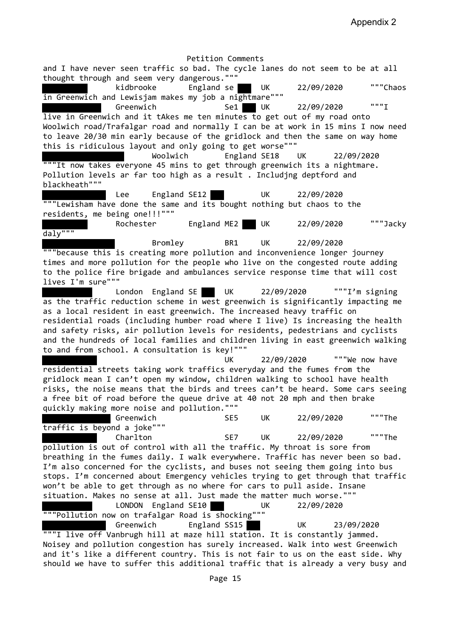Appendix 2

Petition Comments and I have never seen traffic so bad. The cycle lanes do not seem to be at all thought through and seem very dangerous.""" kidbrooke England se UK 22/09/2020 """Chaos in Greenwich and Lewisjam makes my job a nightmare""" Greenwich Se1 UK 22/09/2020 """I live in Greenwich and it tAkes me ten minutes to get out of my road onto Woolwich road/Trafalgar road and normally I can be at work in 15 mins I now need to leave 20/30 min early because of the gridlock and then the same on way home this is ridiculous layout and only going to get worse""" Woolwich England SE18 UK 22/09/2020 """It now takes everyone 45 mins to get through greenwich its a nightmare. Pollution levels ar far too high as a result . Includjng deptford and blackheath""" Lee England SE12 UK 22/09/2020 """Lewisham have done the same and its bought nothing but chaos to the residents, me being one!!!""" Rochester England ME2 UK 22/09/2020 ""Jacky daly""" Bromley BR1 UK 22/09/2020 """because this is creating more pollution and inconvenience longer journey times and more pollution for the people who live on the congested route adding to the police fire brigade and ambulances service response time that will cost lives I'm sure""" London England SE UK 22/09/2020 """I'm signing as the traffic reduction scheme in  $\overline{west}$  greenwich is significantly impacting me as a local resident in east greenwich. The increased heavy traffic on residential roads (including humber road where I live) Is increasing the health and safety risks, air pollution levels for residents, pedestrians and cyclists and the hundreds of local families and children living in east greenwich walking to and from school. A consultation is key!""" UK 22/09/2020 """We now have residential streets taking work traffics everyday and the fumes from the gridlock mean I can't open my window, children walking to school have health risks, the noise means that the birds and trees can't be heard. Some cars seeing a free bit of road before the queue drive at 40 not 20 mph and then brake quickly making more noise and pollution.""" Greenwich SE5 UK 22/09/2020 """The traffic is beyond a joke""" Charlton SE7 UK 22/09/2020 """The pollution is out of control with all the traffic. My throat is sore from breathing in the fumes daily. I walk everywhere. Traffic has never been so bad. I'm also concerned for the cyclists, and buses not seeing them going into bus stops. I'm concerned about Emergency vehicles trying to get through that traffic won't be able to get through as no where for cars to pull aside. Insane situation. Makes no sense at all. Just made the matter much worse.""" LONDON England SE10 UK 22/09/2020 """Pollution now on trafalgar Road is shocking""" Greenwich England SS15 UK 23/09/2020 """I live off Vanbrugh hill at maze hill station. It is constantly jammed. Noisey and pollution congestion has surely increased. Walk into west Greenwich and it's like a different country. This is not fair to us on the east side. Why should we have to suffer this additional traffic that is already a very busy and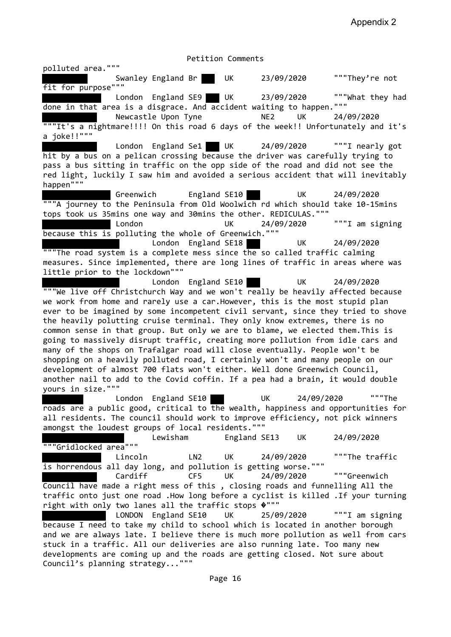polluted area.""" Swanley England Br UK 23/09/2020 """They're not fit for purpose""" London England SE9 UK 23/09/2020 """What they had done in that area is a disgrace. And accident waiting to happen.""" Newcastle Upon Tyne NE2 UK 24/09/2020 """It's a nightmare!!!! On this road 6 days of the week!! Unfortunately and it's a joke!!""" London England Se1 UK 24/09/2020 """I nearly got hit by a bus on a pelican crossing because the driver was carefully trying to pass a bus sitting in traffic on the opp side of the road and did not see the red light, luckily I saw him and avoided a serious accident that will inevitably happen""" Greenwich England SE10 UK 24/09/2020 """A journey to the Peninsula from Old Woolwich rd which should take 10-15mins tops took us 35mins one way and 30mins the other. REDICULAS.""" London UK 24/09/2020 """I am signing because this is polluting the whole of Greenwich.""" London England SE18 UK 24/09/2020 """The road system is a complete mess since the so called traffic calming measures. Since implemented, there are long lines of traffic in areas where was little prior to the lockdown""" London England SE10 UK 24/09/2020 """We live off Christchurch Way and we won't really be heavily affected because we work from home and rarely use a car.However, this is the most stupid plan ever to be imagined by some incompetent civil servant, since they tried to shove the heavily polutting cruise terminal. They only know extremes, there is no common sense in that group. But only we are to blame, we elected them.This is going to massively disrupt traffic, creating more pollution from idle cars and many of the shops on Trafalgar road will close eventually. People won't be shopping on a heavily polluted road, I certainly won't and many people on our development of almost 700 flats won't either. Well done Greenwich Council, another nail to add to the Covid coffin. If a pea had a brain, it would double yours in size.""" London England SE10 UK 24/09/2020 """The roads are a public good, critical to the wealth, happiness and opportunities for all residents. The council should work to improve efficiency, not pick winners amongst the loudest groups of local residents.""" Lewisham England SE13 UK 24/09/2020 """Gridlocked area""" Lincoln LN2 UK 24/09/2020 """The traffic is horrendous all day long, and pollution is getting worse.""" Cardiff CF5 UK 24/09/2020 """Greenwich Council have made a right mess of this , closing roads and funnelling All the traffic onto just one road .How long before a cyclist is killed .If your turning right with only two lanes all the traffic stops  $\mathbf{\hat{v}}$ "" LONDON England SE10 UK 25/09/2020 """I am signing because I need to take my child to school which is located in another borough and we are always late. I believe there is much more pollution as well from cars stuck in a traffic. All our deliveries are also running late. Too many new developments are coming up and the roads are getting closed. Not sure about Council's planning strategy..."""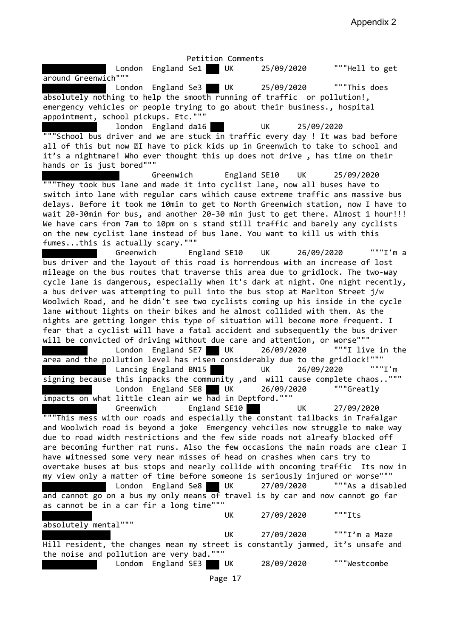Appendix 2

Petition Comments London England Se1 UK 25/09/2020 """Hell to get around Greenwich""" London England Se3 UK 25/09/2020 ""This does absolutely nothing to help the smooth running of traffic or pollution!, emergency vehicles or people trying to go about their business., hospital appointment, school pickups. Etc.""" london England da16 UK 25/09/2020 """School bus driver and we are stuck in traffic every day ! It was bad before all of this but now  $\mathbb{I}$  have to pick kids up in Greenwich to take to school and it's a nightmare! Who ever thought this up does not drive , has time on their hands or is just bored""" Greenwich England SE10 UK 25/09/2020 """They took bus lane and made it into cyclist lane, now all buses have to switch into lane with regular cars wihich cause extreme traffic ans massive bus delays. Before it took me 10min to get to North Greenwich station, now I have to wait 20-30min for bus, and another 20-30 min just to get there. Almost 1 hour!!! We have cars from 7am to 10pm on s stand still traffic and barely any cyclists on the new cyclist lane instead of bus lane. You want to kill us with this fumes...this is actually scary.""" Greenwich England SE10 UK 26/09/2020 """I'm a bus driver and the layout of this road is horrendous with an increase of lost mileage on the bus routes that traverse this area due to gridlock. The two-way cycle lane is dangerous, especially when it's dark at night. One night recently, a bus driver was attempting to pull into the bus stop at Marlton Street j/w Woolwich Road, and he didn't see two cyclists coming up his inside in the cycle lane without lights on their bikes and he almost collided with them. As the nights are getting longer this type of situation will become more frequent. I fear that a cyclist will have a fatal accident and subsequently the bus driver will be convicted of driving without due care and attention, or worse"""<br>London England SE7 UK 26/09/2020 """I live in the London England SE7 UK  $26/09/2020$ area and the pollution level has risen considerably due to the gridlock!""" Lancing England BN15 UK 26/09/2020 """I'm signing because this inpacks the community ,and will cause complete chaos..""" London England SE8 UK 26/09/2020 """Greatly impacts on what little clean air we had in Deptford.""" Greenwich England SE10 UK 27/09/2020 """This mess with our roads and especially the constant tailbacks in Trafalgar and Woolwich road is beyond a joke Emergency vehciles now struggle to make way due to road width restrictions and the few side roads not alreafy blocked off are becoming further rat runs. Also the few occasions the main roads are clear I have witnessed some very near misses of head on crashes when cars try to overtake buses at bus stops and nearly collide with oncoming traffic Its now in my view only a matter of time before someone is seriously injured or worse""" London England Se8 UK 27/09/2020 """As a disabled and cannot go on a bus my only means of travel is by car and now cannot go far as cannot be in a car fir a long time""" UK 27/09/2020 """Its absolutely mental""" UK 27/09/2020 """I'm a Maze Hill resident, the changes mean my street is constantly jammed, it's unsafe and the noise and pollution are very bad.""" Londom England SE3 UK 28/09/2020 """Westcombe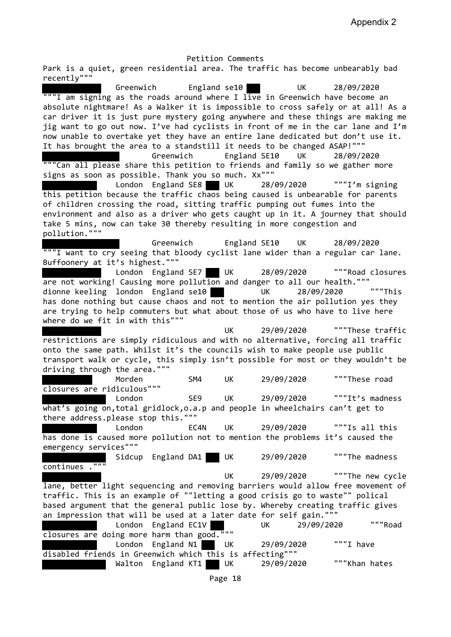Appendix 2

Petition Comments Park is a quiet, green residential area. The traffic has become unbearably bad recently""" Greenwich England se10 UK 28/09/2020 """I am signing as the roads around where I live in Greenwich have become an absolute nightmare! As a Walker it is impossible to cross safely or at all! As a car driver it is just pure mystery going anywhere and these things are making me jig want to go out now. I've had cyclists in front of me in the car lane and I'm now unable to overtake yet they have an entire lane dedicated but don't use it. It has brought the area to a standstill it needs to be changed ASAP!""" Greenwich England SE10 UK 28/09/2020 """Can all please share this petition to friends and family so we gather more signs as soon as possible. Thank you so much. Xx""" London England SE8 UK 28/09/2020 """I'm signing this petition because the traffic chaos being caused is unbearable for parents of children crossing the road, sitting traffic pumping out fumes into the environment and also as a driver who gets caught up in it. A journey that should take 5 mins, now can take 30 thereby resulting in more congestion and pollution.""" Greenwich England SE10 UK 28/09/2020 """I want to cry seeing that bloody cyclist lane wider than a regular car lane. Buffoonery at it's highest.""" London England SE7 UK 28/09/2020 """Road closures are not working! Causing more pollution and danger to all our health.""" dionne keeling london England se10 UK 28/09/2020 """This has done nothing but cause chaos and not to mention the air pollution yes they are trying to help commuters but what about those of us who have to live here where do we fit in with this""" UK 29/09/2020 """These traffic restrictions are simply ridiculous and with no alternative, forcing all traffic onto the same path. Whilst it's the councils wish to make people use public transport walk or cycle, this simply isn't possible for most or they wouldn't be driving through the area.""" Morden SM4 UK 29/09/2020 """These road closures are ridiculous""" London SE9 UK 29/09/2020 """It's madness what's going on, total gridlock, o.a.p and people in wheelchairs can't get to there address.please stop this.""" London EC4N UK 29/09/2020 """Is all this has done is caused more pollution not to mention the problems it's caused the emergency services""" Sidcup England DA1 UK 29/09/2020 ""The madness  $continus$ ." UK 29/09/2020 """The new cycle lane, better light sequencing and removing barriers would allow free movement of traffic. This is an example of ""letting a good crisis go to waste"" polical based argument that the general public lose by. Whereby creating traffic gives an impression that will be used at a later date for self gain.""" London England EC1V UK 29/09/2020 """Road closures are doing more harm than good.""" London England N1 UK 29/09/2020 """I have disabled friends in Greenwich which this is affecting""" Walton England KT1 UK 29/09/2020 ""Khan hates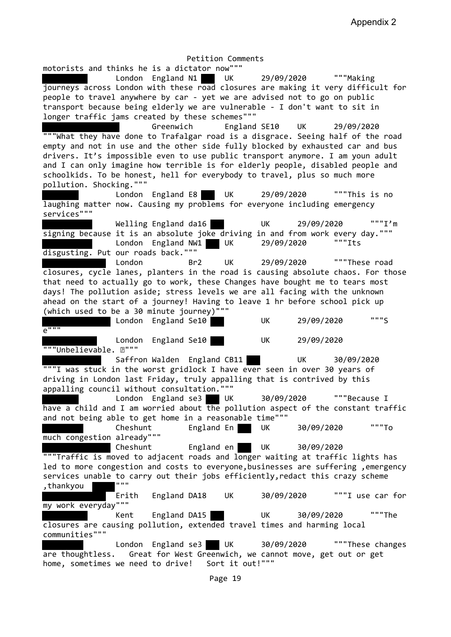Petition Comments motorists and thinks he is a dictator now""" London England N1 UK 29/09/2020 """Making journeys across London with these road closures are making it very difficult for people to travel anywhere by car - yet we are advised not to go on public transport because being elderly we are vulnerable - I don't want to sit in longer traffic jams created by these schemes""" Greenwich England SE10 UK 29/09/2020 """What they have done to Trafalgar road is a disgrace. Seeing half of the road empty and not in use and the other side fully blocked by exhausted car and bus drivers. It's impossible even to use public transport anymore. I am youn adult and I can only imagine how terrible is for elderly people, disabled people and schoolkids. To be honest, hell for everybody to travel, plus so much more pollution. Shocking.""" London England E8 UK 29/09/2020 """This is no laughing matter now. Causing my problems for everyone including emergency services""" Welling England da16 UK 29/09/2020 """I'm signing because it is an absolute joke driving in and from work every day.""" London England NW1 UK 29/09/2020 """Its disgusting. Put our roads back.""" London Br2 UK 29/09/2020 """These road closures, cycle lanes, planters in the road is causing absolute chaos. For those that need to actually go to work, these Changes have bought me to tears most days! The pollution aside; stress levels we are all facing with the unknown ahead on the start of a journey! Having to leave 1 hr before school pick up (which used to be a 30 minute journey)""" London England Se10 UK 29/09/2020 """S  $e$ """ London England Se10 UK 29/09/2020 """Unbelievable. 2""" Saffron Walden England CB11 UK 30/09/2020 """I was stuck in the worst gridlock I have ever seen in over 30 years of driving in London last Friday, truly appalling that is contrived by this appalling council without consultation.""" London England se3 UK 30/09/2020 """Because I have a child and I am worried about  $\overline{the}$  pollution aspect of the constant traffic and not being able to get home in a reasonable time""" Cheshunt England En UK 30/09/2020 """To much congestion already""" Cheshunt England en UK 30/09/2020 """Traffic is moved to adjacent roads and longer waiting at traffic lights has led to more congestion and costs to everyone,businesses are suffering ,emergency services unable to carry out their jobs efficiently, redact this crazy scheme ,thankyou """ Erith England DA18 UK 30/09/2020 """I use car for my work everyday""" Kent England DA15 UK 30/09/2020 """The closures are causing pollution, extended travel times and harming local communities""" London England se3 UK 30/09/2020 """These changes are thoughtless. Great for West Greenwich, we cannot move, get out or get home, sometimes we need to drive! Sort it out!"""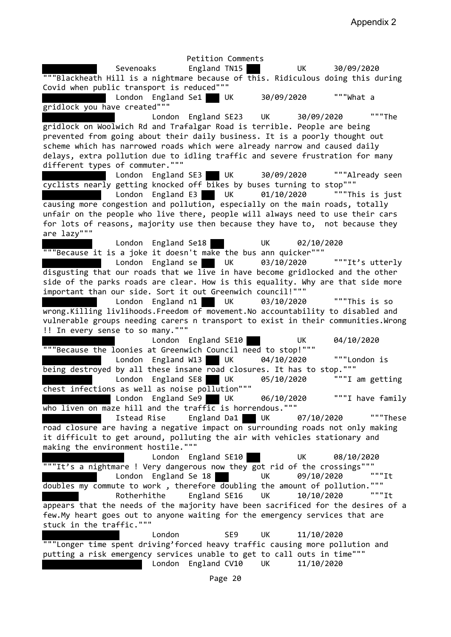Petition Comments Sevenoaks England TN15 UK 30/09/2020 """Blackheath Hill is a nightmare because of this. Ridiculous doing this during Covid when public transport is reduced""" London England Se1 UK 30/09/2020 """What a gridlock you have created""" London England SE23 UK 30/09/2020 """The gridlock on Woolwich Rd and Trafalgar Road is terrible. People are being prevented from going about their daily business. It is a poorly thought out scheme which has narrowed roads which were already narrow and caused daily delays, extra pollution due to idling traffic and severe frustration for many different types of commuter.""" London England SE3 UK 30/09/2020 """Already seen cyclists nearly getting knocked off bikes by buses turning to stop""" London England E3 UK 01/10/2020 ""This is just causing more congestion and pollution, especially on the main roads, totally unfair on the people who live there, people will always need to use their cars for lots of reasons, majority use then because they have to, not because they are lazy""" London England Se18 UK 02/10/2020 """Because it is a joke it doesn't make the bus ann quicker""" London England se UK 03/10/2020 """It's utterly disgusting that our roads that we live in have become gridlocked and the other side of the parks roads are clear. How is this equality. Why are that side more important than our side. Sort it out Greenwich council!""" London England n1 UK 03/10/2020 ""This is so wrong.Killing livlihoods.Freedom of movement.No accountability to disabled and vulnerable groups needing carers n transport to exist in their communities. Wrong !! In every sense to so many.""" London England SE10 UK 04/10/2020 """Because the loonies at Greenwich Council need to stop!""" London England W13 UK 04/10/2020 """London is being destroyed by all these insane road closures. It has to stop.""" London England SE8 UK 05/10/2020 """I am getting chest infections as well as noise pollution""" London England Se9 UK 06/10/2020 """I have family who liven on maze hill and the traffic is horrendous.""" Istead Rise England Da1 UK 07/10/2020 """These road closure are having a negative impact on surrounding roads not only making it difficult to get around, polluting the air with vehicles stationary and making the environment hostile.""" London England SE10 UK 08/10/2020 """It's a nightmare ! Very dangerous now they got rid of the crossings""" London England Se 18 UK 09/10/2020 """It doubles my commute to work, therefore doubling the amount of pollution.""" Rotherhithe England SE16 UK 10/10/2020 """It appears that the needs of the majority have been sacrificed for the desires of a few.My heart goes out to anyone waiting for the emergency services that are stuck in the traffic.""" London SE9 UK 11/10/2020 """Longer time spent driving'forced heavy traffic causing more pollution and putting a risk emergency services unable to get to call outs in time""" London England CV10 UK 11/10/2020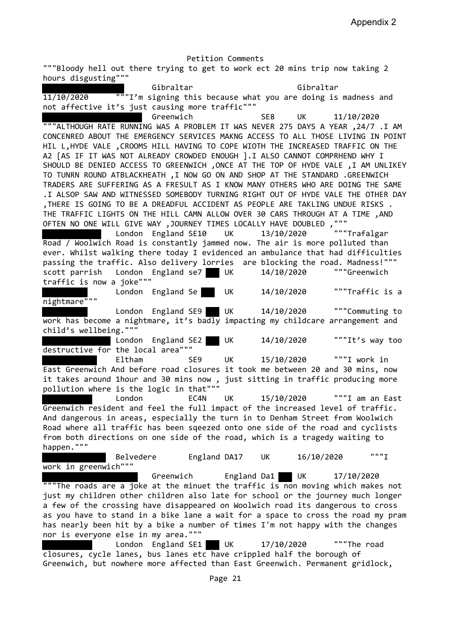Petition Comments """Bloody hell out there trying to get to work ect 20 mins trip now taking 2 hours disgusting""" Gibraltar Gibraltar 11/10/2020 """I'm signing this because what you are doing is madness and not affective it's just causing more traffic""" Greenwich SE8 UK 11/10/2020 """ALTHOUGH RATE RUNNING WAS A PROBLEM IT WAS NEVER 275 DAYS A YEAR ,24/7 .I AM CONCENRED ABOUT THE EMERGENCY SERVICES MAKNG ACCESS TO ALL THOSE LIVING IN POINT HIL L,HYDE VALE ,CROOMS HILL HAVING TO COPE WIOTH THE INCREASED TRAFFIC ON THE A2 [AS IF IT WAS NOT ALREADY CROWDED ENOUGH ].I ALSO CANNOT COMPRHEND WHY I SHOULD BE DENIED ACCESS TO GREENWICH ,ONCE AT THE TOP OF HYDE VALE ,I AM UNLIKEY TO TUNRN ROUND ATBLACKHEATH ,I NOW GO ON AND SHOP AT THE STANDARD .GREENWICH TRADERS ARE SUFFERING AS A FRESULT AS I KNOW MANY OTHERS WHO ARE DOING THE SAME .I ALSOP SAW AND WITNESSED SOMEBODY TURNING RIGHT OUT OF HYDE VALE THE OTHER DAY ,THERE IS GOING TO BE A DREADFUL ACCIDENT AS PEOPLE ARE TAKLING UNDUE RISKS . THE TRAFFIC LIGHTS ON THE HILL CAMN ALLOW OVER 30 CARS THROUGH AT A TIME ,AND OFTEN NO ONE WILL GIVE WAY, JOURNEY TIMES LOCALLY HAVE DOUBLED, """<br>London England SE10 UK 13/10/2020 """Trafalgar London England SE10 UK 13/10/2020 Road / Woolwich Road is constantly jammed now. The air is more polluted than ever. Whilst walking there today I evidenced an ambulance that had difficulties passing the traffic. Also delivery lorries are blocking the road. Madness!""" scott parrish London England se7 UK 14/10/2020 """Greenwich traffic is now a joke""" London England Se UK 14/10/2020 ""Traffic is a nightmare""" London England SE9 UK 14/10/2020 """Commuting to work has become a nightmare, it's badly impacting my childcare arrangement and child's wellbeing.""" London England SE2 UK 14/10/2020 """It's way too destructive for the local area""" Eltham SE9 UK 15/10/2020 """I work in East Greenwich And before road closures it took me between 20 and 30 mins, now it takes around 1hour and 30 mins now , just sitting in traffic producing more pollution where is the logic in that""" London EC4N UK 15/10/2020 """I am an East Greenwich resident and feel the full impact of the increased level of traffic. And dangerous in areas, especially the turn in to Denham Street from Woolwich Road where all traffic has been sqeezed onto one side of the road and cyclists from both directions on one side of the road, which is a tragedy waiting to happen.""" Belvedere England DA17 UK 16/10/2020 """I work in greenwich""" Greenwich England Da1 UK 17/10/2020 """The roads are a joke at the minuet the traffic is non moving which makes not just my children other children also late for school or the journey much longer a few of the crossing have disappeared on Woolwich road its dangerous to cross as you have to stand in a bike lane a wait for a space to cross the road my pram has nearly been hit by a bike a number of times I'm not happy with the changes nor is everyone else in my area.""" London England SE1 UK 17/10/2020 ""The road closures, cycle lanes, bus lanes etc have crippled half the borough of Greenwich, but nowhere more affected than East Greenwich. Permanent gridlock,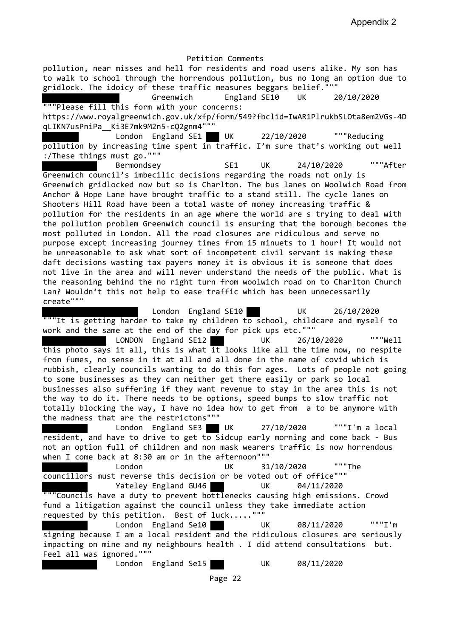pollution, near misses and hell for residents and road users alike. My son has to walk to school through the horrendous pollution, bus no long an option due to gridlock. The idoicy of these traffic measures beggars belief."""

 Greenwich England SE10 UK 20/10/2020 """Please fill this form with your concerns: https://www.royalgreenwich.gov.uk/xfp/form/549?fbclid=IwAR1PlrukbSLOta8em2VGs-4D qLIKN7usPniPa\_\_Ki3E7mk9M2n5-cQ2gnm4"""

London England SE1 UK 22/10/2020 """Reducing pollution by increasing time spent in traffic. I'm sure that's working out well :/These things must go."""

 Bermondsey SE1 UK 24/10/2020 """After Greenwich council's imbecilic decisions regarding the roads not only is Greenwich gridlocked now but so is Charlton. The bus lanes on Woolwich Road from Anchor & Hope Lane have brought traffic to a stand still. The cycle lanes on Shooters Hill Road have been a total waste of money increasing traffic & pollution for the residents in an age where the world are s trying to deal with the pollution problem Greenwich council is ensuring that the borough becomes the most polluted in London. All the road closures are ridiculous and serve no purpose except increasing journey times from 15 minuets to 1 hour! It would not be unreasonable to ask what sort of incompetent civil servant is making these daft decisions wasting tax payers money it is obvious it is someone that does not live in the area and will never understand the needs of the public. What is the reasoning behind the no right turn from woolwich road on to Charlton Church Lan? Wouldn't this not help to ease traffic which has been unnecessarily create"""

 London England SE10 UK 26/10/2020 """It is getting harder to take my children to school, childcare and myself to work and the same at the end of the day for pick ups etc."""

 LONDON England SE12 UK 26/10/2020 """Well this photo says it all, this is what it looks like all the time now, no respite from fumes, no sense in it at all and all done in the name of covid which is rubbish, clearly councils wanting to do this for ages. Lots of people not going to some businesses as they can neither get there easily or park so local businesses also suffering if they want revenue to stay in the area this is not the way to do it. There needs to be options, speed bumps to slow traffic not totally blocking the way, I have no idea how to get from a to be anymore with the madness that are the restrictons"""

 London England SE3 UK 27/10/2020 """I'm a local resident, and have to drive to get to Sidcup early morning and come back - Bus not an option full of children and non mask wearers traffic is now horrendous when I come back at 8:30 am or in the afternoon"""

 London UK 31/10/2020 """The councillors must reverse this decision or be voted out of office""" Yateley England GU46 UK 04/11/2020

"""Councils have a duty to prevent bottlenecks causing high emissions. Crowd fund a litigation against the council unless they take immediate action requested by this petition. Best of luck....."""

 London England Se10 UK 08/11/2020 """I'm signing because I am a local resident and the ridiculous closures are seriously impacting on mine and my neighbours health . I did attend consultations but. Feel all was ignored."""

London England Se15 UK 08/11/2020